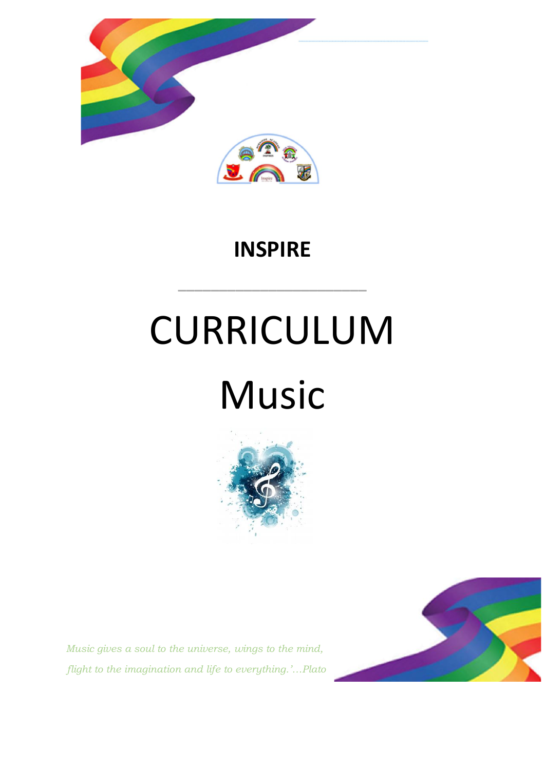

### **INSPIRE**

**\_\_\_\_\_\_\_\_\_\_\_\_\_\_\_\_\_\_\_\_\_\_\_**

# CURRICULUM Music



*Music gives a soul to the universe, wings to the mind, flight to the imagination and life to everything.'…Plato*

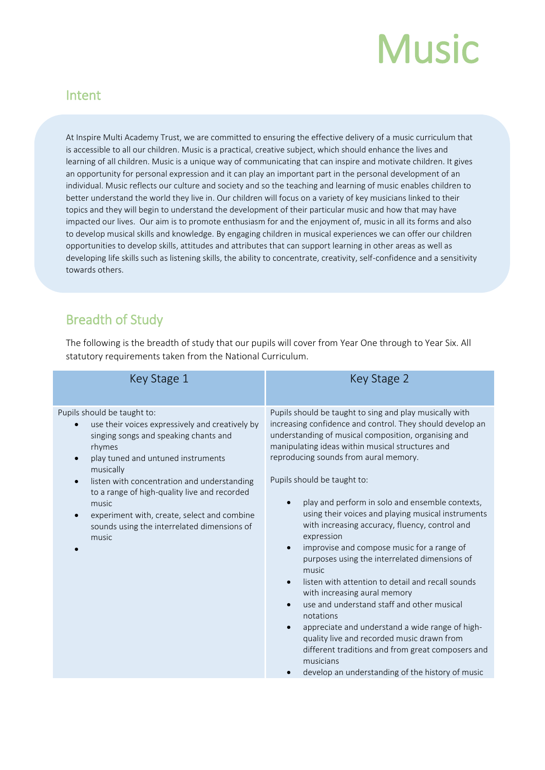## **Music**

#### Intent

At Inspire Multi Academy Trust, we are committed to ensuring the effective delivery of a music curriculum that is accessible to all our children. Music is a practical, creative subject, which should enhance the lives and learning of all children. Music is a unique way of communicating that can inspire and motivate children. It gives an opportunity for personal expression and it can play an important part in the personal development of an individual. Music reflects our culture and society and so the teaching and learning of music enables children to better understand the world they live in. Our children will focus on a variety of key musicians linked to their topics and they will begin to understand the development of their particular music and how that may have impacted our lives. Our aim is to promote enthusiasm for and the enjoyment of, music in all its forms and also to develop musical skills and knowledge. By engaging children in musical experiences we can offer our children opportunities to develop skills, attitudes and attributes that can support learning in other areas as well as developing life skills such as listening skills, the ability to concentrate, creativity, self-confidence and a sensitivity towards others.

#### Breadth of Study

The following is the breadth of study that our pupils will cover from Year One through to Year Six. All statutory requirements taken from the National Curriculum.

| Key Stage 1                                                                                                                                                                                                                                                                                                                                                                                                                                | Key Stage 2                                                                                                                                                                                                                                                                                                                                                                                                                                                                                                                                                                                                                                                                                                                                                                                                                                                                                                                                                                                             |
|--------------------------------------------------------------------------------------------------------------------------------------------------------------------------------------------------------------------------------------------------------------------------------------------------------------------------------------------------------------------------------------------------------------------------------------------|---------------------------------------------------------------------------------------------------------------------------------------------------------------------------------------------------------------------------------------------------------------------------------------------------------------------------------------------------------------------------------------------------------------------------------------------------------------------------------------------------------------------------------------------------------------------------------------------------------------------------------------------------------------------------------------------------------------------------------------------------------------------------------------------------------------------------------------------------------------------------------------------------------------------------------------------------------------------------------------------------------|
| Pupils should be taught to:<br>use their voices expressively and creatively by<br>singing songs and speaking chants and<br>rhymes<br>play tuned and untuned instruments<br>$\bullet$<br>musically<br>listen with concentration and understanding<br>$\bullet$<br>to a range of high-quality live and recorded<br>music<br>experiment with, create, select and combine<br>$\bullet$<br>sounds using the interrelated dimensions of<br>music | Pupils should be taught to sing and play musically with<br>increasing confidence and control. They should develop an<br>understanding of musical composition, organising and<br>manipulating ideas within musical structures and<br>reproducing sounds from aural memory.<br>Pupils should be taught to:<br>play and perform in solo and ensemble contexts,<br>$\bullet$<br>using their voices and playing musical instruments<br>with increasing accuracy, fluency, control and<br>expression<br>improvise and compose music for a range of<br>purposes using the interrelated dimensions of<br>music<br>listen with attention to detail and recall sounds<br>$\bullet$<br>with increasing aural memory<br>use and understand staff and other musical<br>notations<br>appreciate and understand a wide range of high-<br>$\bullet$<br>quality live and recorded music drawn from<br>different traditions and from great composers and<br>musicians<br>develop an understanding of the history of music |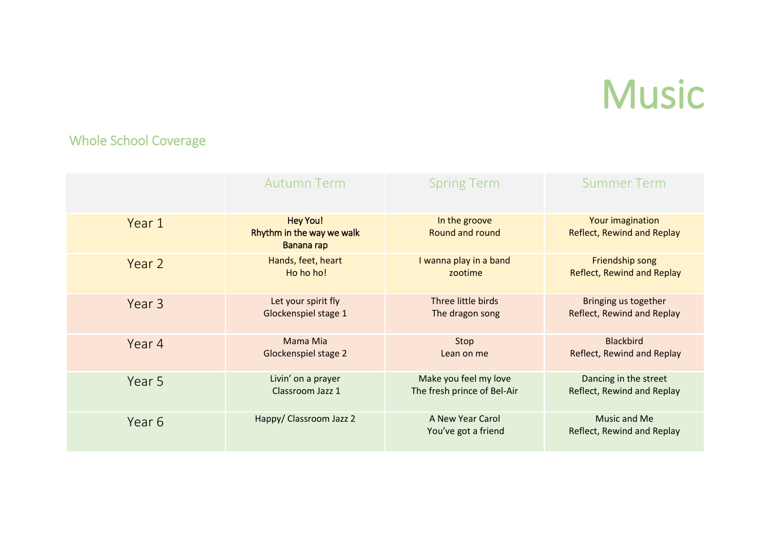## Music

#### Whole School Coverage

|        | <b>Autumn Term</b>                                         | <b>Spring Term</b>                      | <b>Summer Term</b>                             |
|--------|------------------------------------------------------------|-----------------------------------------|------------------------------------------------|
| Year 1 | <b>Hey You!</b><br>Rhythm in the way we walk<br>Banana rap | In the groove<br>Round and round        | Your imagination<br>Reflect, Rewind and Replay |
| Year 2 | Hands, feet, heart                                         | I wanna play in a band                  | Friendship song                                |
|        | Ho ho ho!                                                  | zootime                                 | <b>Reflect, Rewind and Replay</b>              |
| Year 3 | Let your spirit fly                                        | Three little birds                      | Bringing us together                           |
|        | Glockenspiel stage 1                                       | The dragon song                         | Reflect, Rewind and Replay                     |
| Year 4 | Mama Mia                                                   | Stop                                    | <b>Blackbird</b>                               |
|        | Glockenspiel stage 2                                       | Lean on me                              | Reflect, Rewind and Replay                     |
| Year 5 | Livin' on a prayer                                         | Make you feel my love                   | Dancing in the street                          |
|        | Classroom Jazz 1                                           | The fresh prince of Bel-Air             | Reflect, Rewind and Replay                     |
| Year 6 | Happy/ Classroom Jazz 2                                    | A New Year Carol<br>You've got a friend | Music and Me<br>Reflect, Rewind and Replay     |